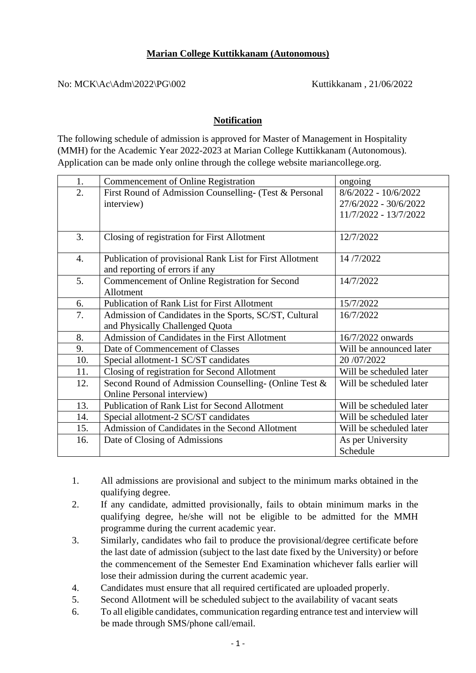## **Marian College Kuttikkanam (Autonomous)**

No: MCK\Ac\Adm\2022\PG\002 Kuttikkanam , 21/06/2022

## **Notification**

The following schedule of admission is approved for Master of Management in Hospitality (MMH) for the Academic Year 2022-2023 at Marian College Kuttikkanam (Autonomous). Application can be made only online through the college website mariancollege.org.

| 1.               | <b>Commencement of Online Registration</b>                                                 | ongoing                                                                |
|------------------|--------------------------------------------------------------------------------------------|------------------------------------------------------------------------|
| $\overline{2}$ . | First Round of Admission Counselling- (Test & Personal<br>interview)                       | 8/6/2022 - 10/6/2022<br>27/6/2022 - 30/6/2022<br>11/7/2022 - 13/7/2022 |
| 3.               | Closing of registration for First Allotment                                                | 12/7/2022                                                              |
| $\overline{4}$ . | Publication of provisional Rank List for First Allotment<br>and reporting of errors if any | 14/7/2022                                                              |
| 5.               | Commencement of Online Registration for Second<br>Allotment                                | 14/7/2022                                                              |
| 6.               | <b>Publication of Rank List for First Allotment</b>                                        | 15/7/2022                                                              |
| 7.               | Admission of Candidates in the Sports, SC/ST, Cultural<br>and Physically Challenged Quota  | 16/7/2022                                                              |
| 8.               | Admission of Candidates in the First Allotment                                             | 16/7/2022 onwards                                                      |
| 9.               | Date of Commencement of Classes                                                            | Will be announced later                                                |
| 10.              | Special allotment-1 SC/ST candidates                                                       | 20 /07/2022                                                            |
| 11.              | Closing of registration for Second Allotment                                               | Will be scheduled later                                                |
| 12.              | Second Round of Admission Counselling- (Online Test &<br>Online Personal interview)        | Will be scheduled later                                                |
| 13.              | <b>Publication of Rank List for Second Allotment</b>                                       | Will be scheduled later                                                |
| 14.              | Special allotment-2 SC/ST candidates                                                       | Will be scheduled later                                                |
| 15.              | Admission of Candidates in the Second Allotment                                            | Will be scheduled later                                                |
| 16.              | Date of Closing of Admissions                                                              | As per University<br>Schedule                                          |

1. All admissions are provisional and subject to the minimum marks obtained in the qualifying degree.

- 2. If any candidate, admitted provisionally, fails to obtain minimum marks in the qualifying degree, he/she will not be eligible to be admitted for the MMH programme during the current academic year.
- 3. Similarly, candidates who fail to produce the provisional/degree certificate before the last date of admission (subject to the last date fixed by the University) or before the commencement of the Semester End Examination whichever falls earlier will lose their admission during the current academic year.
- 4. Candidates must ensure that all required certificated are uploaded properly.
- 5. Second Allotment will be scheduled subject to the availability of vacant seats
- 6. To all eligible candidates, communication regarding entrance test and interview will be made through SMS/phone call/email.